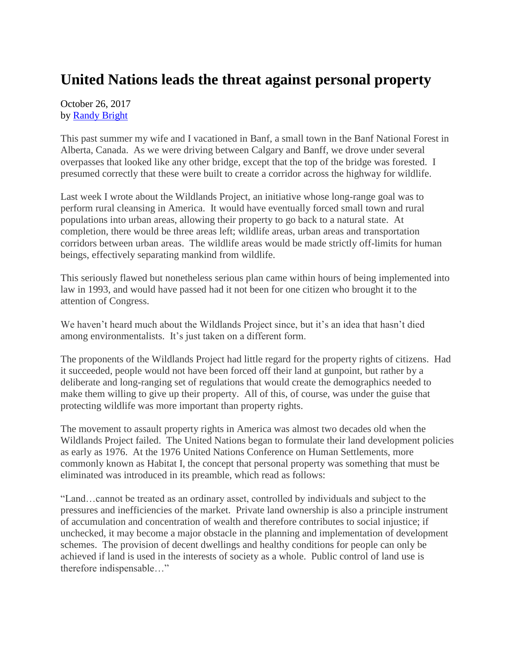## **United Nations leads the threat against personal property**

October 26, 2017 by [Randy Bright](http://tulsabeacon.com/writers/randy-bright/)

This past summer my wife and I vacationed in Banf, a small town in the Banf National Forest in Alberta, Canada. As we were driving between Calgary and Banff, we drove under several overpasses that looked like any other bridge, except that the top of the bridge was forested. I presumed correctly that these were built to create a corridor across the highway for wildlife.

Last week I wrote about the Wildlands Project, an initiative whose long-range goal was to perform rural cleansing in America. It would have eventually forced small town and rural populations into urban areas, allowing their property to go back to a natural state. At completion, there would be three areas left; wildlife areas, urban areas and transportation corridors between urban areas. The wildlife areas would be made strictly off-limits for human beings, effectively separating mankind from wildlife.

This seriously flawed but nonetheless serious plan came within hours of being implemented into law in 1993, and would have passed had it not been for one citizen who brought it to the attention of Congress.

We haven't heard much about the Wildlands Project since, but it's an idea that hasn't died among environmentalists. It's just taken on a different form.

The proponents of the Wildlands Project had little regard for the property rights of citizens. Had it succeeded, people would not have been forced off their land at gunpoint, but rather by a deliberate and long-ranging set of regulations that would create the demographics needed to make them willing to give up their property. All of this, of course, was under the guise that protecting wildlife was more important than property rights.

The movement to assault property rights in America was almost two decades old when the Wildlands Project failed. The United Nations began to formulate their land development policies as early as 1976. At the 1976 United Nations Conference on Human Settlements, more commonly known as Habitat I, the concept that personal property was something that must be eliminated was introduced in its preamble, which read as follows:

"Land…cannot be treated as an ordinary asset, controlled by individuals and subject to the pressures and inefficiencies of the market. Private land ownership is also a principle instrument of accumulation and concentration of wealth and therefore contributes to social injustice; if unchecked, it may become a major obstacle in the planning and implementation of development schemes. The provision of decent dwellings and healthy conditions for people can only be achieved if land is used in the interests of society as a whole. Public control of land use is therefore indispensable…"